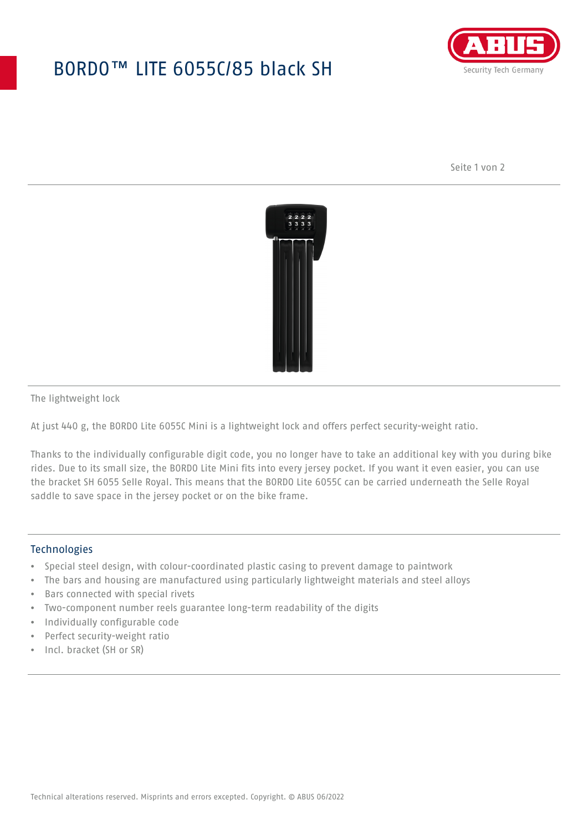## BORDO™ LITE 6055C/85 black SH



Seite 1 von 2



The lightweight lock

At just 440 g, the BORDO Lite 6055C Mini is a lightweight lock and offers perfect security-weight ratio.

Thanks to the individually configurable digit code, you no longer have to take an additional key with you during bike rides. Due to its small size, the BORDO Lite Mini fits into every jersey pocket. If you want it even easier, you can use the bracket SH 6055 Selle Royal. This means that the BORDO Lite 6055C can be carried underneath the Selle Royal saddle to save space in the jersey pocket or on the bike frame.

## **Technologies**

- Special steel design, with colour-coordinated plastic casing to prevent damage to paintwork
- The bars and housing are manufactured using particularly lightweight materials and steel alloys
- Bars connected with special rivets
- Two-component number reels guarantee long-term readability of the digits
- Individually configurable code
- Perfect security-weight ratio
- Incl. bracket (SH or SR)